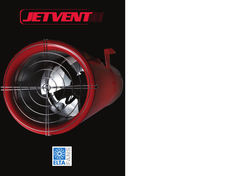

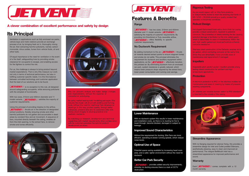#### **Rigorous Testing**

As you would expect with an Elta Fans products, is independently tested to meet the exacting standards of EN 12101 – 03:2002 providing a quality product that operates in fire/smoke conditions.

#### **Robust Design**

Hot dipped Galvanised finish with a 4mm thick fan casing provide a robust construction, resistant to potential corrosion. The prevention of debris entering the fan causing potential damage is facilitated by the zinc plated guard, which is detachable for ease of maintenance. Within the unit, high quality galvanised sheet perforations enhance corrosion resistance.

Stainless steel construction of the Deflector enables air to be guided, whilst combating corrosion at the same time. Since they are detachable, it also provides ease of maintenance and replacement if damaged.

#### **Impellers**

Adjustable pitch aerofoil section impellers provide a long lasting robust construction for ambient and high temperature applications.

#### **Protection**

A minimum protection to IP65 on fan electrics enables fan maintenance and ease of cleaning by means of pressure washing components.

An external pad lockable Isolator switch to IP56 standard i s mounted to the outside of the casing.





## **A clever combination of excellent performance and safety by design**

Ventilation in applications such as fully enclosed car parks, vehicle bays and metro stations provide an exchange process of air, by bringing fresh air in, thoroughly mixing the air, then extracting harmful pollutants, namely carbon monoxide, nitrus oxides, fumes from vehicle fluids, oil and other fuels.

Of equal importance is the need for ventilation in the event of a fire itself, safeguarding lives by providing smoke clearance for occupants to escape, and enabling access for fire fighters to control fire risk.

**JETVENT** has two sizes, 315mm and 400mm diameter and 11 model variants, **JETVENT** satisfying the majority of customer requirements. By providing Uni-Directional or Truly reversible airflow, **OFT VENT** offers flexibility to specific customer requirements.

For us, the challenge is always to bring product beyond market expectations. That is why Elta measure our work not only in terms of technical performance, but also in fulfilling customer specific needs. It is this fine balance between unrivalled technology and customer application that the best of our solutions are to be found.

**IETVENT** is no exception to this rule, all designed around safeguarding occupants, while removing pollutants with the simplest of functionality.

By adding momentum to the air,  $\sqrt{I - I}$  thrusts air towards desired extract points to ensure stagnant fumes and smoke do not settle. This principal eliminates the requirement for ductwork and ancilliary equipment within applications, as the  $\sqrt{F\mathbf{V}}\mathbf{E}\mathbf{V}$  effectively transfers the polluted air. By eliminating ductwork from an enclosed car park, system resistance is greatly reduced, which means lower pressure drops required by the extract fans, lower power consumption and running cost savings.



With two sizes, 315mm and 400mm diameter and 11 model variants,  $\sqrt{I - I}$   $\sqrt{I - I}$  satisfies the majority of customer requirements.

> **DETVENT** provides added security improvements, whereby no ducting ensures there is a lack of CCTV obstruction.

Using the principal of providing impetus to the airflow, **JETVENT** thrusts air in the direction of designated extract positions, thereby ensuring smoke and other harmful pollutants do not gather and accumulate in dead areas by constant flow and air movement. A sequence of fans, mounted directly beneath the ceiling, enables air from the inlet opening, to the extract fans, to remove smoke and fumes efficiently.





Each  $\sqrt{EIVEN}$  comes complete with a 12 month warranty.

# **Its Principal**

Elta can pinpoint, analyse and make design changes and improvements without the expense of conventional prototyping.

By using market leading solid modelling packages, Elta ensures the model will drive both profiling and forming tools, without the need for traditional Two-dimensional drawings. In this way, product quality, through better tolerances, presents Elta and its customers alike with strong visual imagery to develop practical and aesthetic decisions.

By matching our research, development and technical capabilities with market requirements, Elta's collaboration with its customers provides the optimal product development solutions.





# **Features & Benefits**

#### **Range**

#### **No Ductwork Requirement**

#### **Lower Maintenance**

With no ductwork system this results in lower maintenance and installation costs, as there is no ducting for fire to travel through, become blocked, damaged or subject to leakage.

#### **Improved Sound Characteristics**

Without the requirement for ducting, Elta Fans are more efficient, operating at slower running speeds, which reduce noise levels.

#### **Optimal Use of Space**

Potential space saving available by increasing head room area, and a safer, lighter environment without the need for ductwork

#### **Better Car Park Security**

#### **Streamline Appearance**

With no flanging required for silencer fixing, this provides a streamline design for Inlet and Outlet podded Silencers, aesthetically pleasing, easy to clean and improved air performance. The integral BellMouth Inlet has a streamlined appearance for improved performance and sound.

#### **Warranty**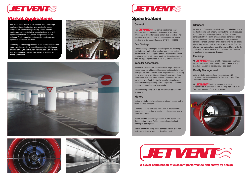# **Specification**

#### **General**

The  $\sqrt{E\text{TV}}$  car park extract range shall comprise 315mm and 400mm diameter sizes, Unidirectional or Truly Reversible airflow, two speed or single speed motors with ambient or high temperature smoke conditions to European Standard EN12101–03:2002

#### **Fan Casings**

The fan casing and integral mounting feet for mounting the unit to the car park ceiling shall provide a long lasting robust construction. All parts shall be manufactured from 4 mm heavy gauge mild sheet steel, roll formed and welded, then hot dipped galvanised to BS 729 after fabrication.

#### **Impeller Assemblies**

Adjustable pitch aerofoil impellers shall be provided woth blades made from high quality pressure die cast aluminium (LMG) or GRP both natural finish. Impellers shall be factory set at an angle to provide specific performance of thrust and volume flow rate. Hubs shall be made from die cast aluminium alloy (LM24). High temperature impellers will have their blades positively locked for pinning, for added security, for operation in smoke mode.

Assembled impellers are to be dynamically balanced to Grade 6.3.

#### **Motors**

All  $\sqrt{I + I}$  **VEN** anits shall be hot dipped galvanised as standard finish. Units can be powder coated in any standard RAL colour as required. (at a cost)

Motors are to be totally enclosed air stream cooled metric frame to IP55 standard.

They are suitable for Class F or Class H insulation for normal continuous duty or smoke conditions once only at 300°C for 2 hours.

All  $\sqrt{I}$   $\sqrt{I}$   $\sqrt{I}$  units are tested at elevated temperatures in accordance with the requirements of the European standard EN12101 – 03:2002.



Motors shall be either Single speed or Two Speed. Two Speed motors have a Dahlander winding with direct starting on both speeds.

Motors shall have flying leads connected to an external padlockable Isolator switch to IP65 Standard.



#### **Silencers**

As Inlet and Outlet silencer shall be mounted either side of the fan housing, with integral bellmouth to provide reduced sound level and optimal performance. Silencers are constructed from 1.5mm pre-galvanised perforated sheet steel, lapped and riveted, containing a pre-galvanised perforated sheet. Silencers shall sleeve onto the fan casing where they are secured, to provide a low profile. The Inlet silencer has a zinc-plated guard to attached to it, whilst the outlet silencer shall have an 304 stainless steel deflector, to guide air in the required direction.

#### **Finishing**

#### **Quality Management**

Units are to be designed and manufactured with procedures as defined in BS EN ISO 9001: 2000. EEC Directives shall be met.

Elta Fans has a wealth of experience and knowledge, dedicated to understanding your particular needs. Whether your criteria is optimising space, specific performance characteristics, low noise level or a high specification finish, the JetVent range continues to enhance Elta's reputation in the design and supply of specialist ventilation products.

Operating in typical applications such as fully enclosed or open sided car parks to assist in general ventilation and smoke extract, to Distribution warehouses, Vehicle Bays and Metro Stations, JetVent ensures the optimal solution to the application.











**A clever combination of excellent performance and safety by design**



# **Market Applications**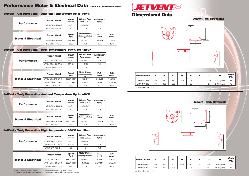† Denotes JetVent Two Speed Models \* Denotes Two Speed Tap Wound Motor All Electrical Data stated at 400v/3PH/50Hz All Starting Currents are Quoted as Direct On-Line

# **Performance Motor & Electrical Data** 315mm & 400mm Diameter Models

## **JetVent - Uni Directional Ambient Temperature Up to +40°C**

## **JetVent - Uni Directional High Temperature 300°C for 1Hour**











### **JetVent - Uni Directional**

**JetVent - Truly Reversible**

| <b>Motor &amp; Electrical</b> | <b>Product Model</b> | <b>Speed</b><br>(Rpm) | <b>Motor Power</b><br>(Dahlander Winding)<br><b>Kw</b> | <b>FLC</b><br>(Amps) | <b>SLC</b><br>(Amps) |
|-------------------------------|----------------------|-----------------------|--------------------------------------------------------|----------------------|----------------------|
|                               | JVU-CPA-315 2/4-3    | 2880/1440             | 0.55/0.11                                              | .42/0.36             | 7.1/1.4              |
|                               | JVU-CPA-400 2-3      | 2880                  | 1.3                                                    | 2.77                 | 13.9                 |

| <b>Performance</b> | <b>Product Model</b> | <b>Thrust</b><br>(Newtons) | <b>Volume Flow</b><br>Rate $(m^3/sec)$ | <b>Air Density</b><br>(Kg/m <sup>3</sup> ) |
|--------------------|----------------------|----------------------------|----------------------------------------|--------------------------------------------|
|                    | JVU-CPA-315 2/4-3    | $20/5 +$                   | 0.94/0.47                              | 1.2                                        |
|                    | JVU-CPA-400 2-3      | 50                         | 1.8                                    | 1.2                                        |
|                    |                      |                            |                                        |                                            |
|                    |                      | . .                        | <b>Motor Power</b>                     | - -                                        |

| <b>Motor &amp; Electrical</b> | <b>Product Model</b>    | <b>Speed</b><br>(Rpm) | <b>Motor Power</b><br>(Dahlander Winding)<br><b>Kw</b> | <b>FLC</b><br>(Amps) | <b>SLC</b><br>(Amps) |
|-------------------------------|-------------------------|-----------------------|--------------------------------------------------------|----------------------|----------------------|
|                               | JVSU-CPA-315 2/4-3      | 2880/1440 *           | 0.75/0.17                                              | 2.1/0.63             | 14.6/2.7             |
|                               | JVSU-CPA-400 2/4-3      | 2880/1440 *           | 1.3/0.28                                               | 2.84/0.81            | 15.1/2.84            |
|                               | <b>JVSU-CPA-400 2-3</b> | 2880                  | 1.3                                                    | 2.77                 | 13.9                 |

## **JetVent - Truly Reversible Ambient Temperature Up to +40°C**

## **JetVent - Truly Reversible High Temperature 300°C for 1Hour**

| <b>Performance</b>            | <b>Product Model</b> | <b>Thrust</b><br>(Newtons) | <b>Volume Flow</b><br>Rate (m <sup>3</sup> /sec)       | <b>Air Density</b><br>(Kg/m <sup>3</sup> ) |                      |
|-------------------------------|----------------------|----------------------------|--------------------------------------------------------|--------------------------------------------|----------------------|
|                               | JVR-CPA-315 2/4-3    | $20/5 +$                   | 0.94/0.47                                              | 1.2                                        |                      |
|                               | JVR-CPA-400 2-3      | 50                         | 1.8                                                    | 1.2                                        |                      |
|                               |                      |                            |                                                        |                                            |                      |
| <b>Motor &amp; Electrical</b> | <b>Product Model</b> | <b>Speed</b><br>(Rpm)      | <b>Motor Power</b><br>(Dahlander Winding)<br><b>Kw</b> | <b>FLC</b><br>(Amps)                       | <b>SLC</b><br>(Amps) |
|                               | JVR-CPA-315 2/4-3    | 2880/1440 *                | 0.55/0.11                                              | 1.42/0.36                                  | 7.1/1.4              |
|                               | JVR-CPA-400 2-3      | 2880                       | 1.3                                                    | 2.77                                       | 13.9                 |

| <b>Performance</b> | <b>Product Model</b>    | <b>Thrust</b><br>(Newtons) | <b>Volume Flow</b><br>Rate $(m^3/sec)$ | <b>Air Density</b><br>(Kg/m <sup>3</sup> ) |  |
|--------------------|-------------------------|----------------------------|----------------------------------------|--------------------------------------------|--|
|                    | JVSU-CPA-315 2/4-3      | $20/5 +$                   | 0.94/0.47                              | 1.2                                        |  |
|                    | JVSU-CPA-400 2/4-3      | $50/15 +$                  | 1.8/0.9                                | 1.2                                        |  |
|                    | <b>JVSU-CPA-400 2-3</b> | 50                         | 1.8                                    | 1.2                                        |  |

| <b>Motor &amp; Electrical</b> | <b>Product Model</b> | <b>Speed</b><br>(Rpm) | <b>Motor Power</b><br>(Dahlander Winding)<br><b>Kw</b> | <b>FLC</b><br>(Amps) | <b>SLC</b><br>(Amps) |
|-------------------------------|----------------------|-----------------------|--------------------------------------------------------|----------------------|----------------------|
|                               | JVSR-CPA-315 2/4-3   | 2880/1440 *           | 0.75/0.17                                              | 2.12/0.63            | 14.6/2.7             |
|                               | JVSR-CPA-400 2/4-3   | 2880/1440 *           | 1.3/0.28                                               | 2.84/0.81            | 15.1/2.84            |
|                               | JVSR-CPA-400 2-3     | 2880                  | 1.3                                                    | 2.77                 | 13.9                 |

|                    | <b>Product Model</b> | <b>Thrust</b><br>(Newtons) | <b>Volume Flow</b><br>Rate $(m^3/sec)$ | <b>Air Density</b><br>(Kg/m <sup>3</sup> ) |  |
|--------------------|----------------------|----------------------------|----------------------------------------|--------------------------------------------|--|
| <b>Performance</b> | JVSR-CPA-315 2/4-3   | $20/5 +$                   | 0.94/0.47                              | 1.2                                        |  |
|                    | JVSR-CPA-400 2/4-3   | $50/15 +$                  | 1.8/0.9                                | 1.2                                        |  |
|                    | JVSR-CPA-400 2-3     | 50                         |                                        | 1.2                                        |  |



All dimensions are in mm

All dimensions are in mm

| <b>Product Model</b> | А   | в   | C   | D   | Е  | F  | G     | Н          | Weight<br>(Kg) |
|----------------------|-----|-----|-----|-----|----|----|-------|------------|----------------|
| JVR-CPA-315          | 380 | 450 | 350 | 400 | 25 | 14 | 335.5 | 2050 (Max) | 65             |
| JVR-CPA-400          | 380 | 450 | 395 | 445 | 25 | 14 | 427   | 2640 (Max) | 75             |

| <b>Product Model</b> | А   | в   | С   |     | Е  |    | G     | п          | Weight<br>(Kg) |
|----------------------|-----|-----|-----|-----|----|----|-------|------------|----------------|
| JVU-CPA-315          | 380 | 450 | 350 | 400 | 25 | 14 | 335.5 | 2123 (Max) | 65             |
| JVU-CPA-315          | 400 | 450 | 395 | 445 | 25 | 14 | 427   | 2493 (Max) | 75             |